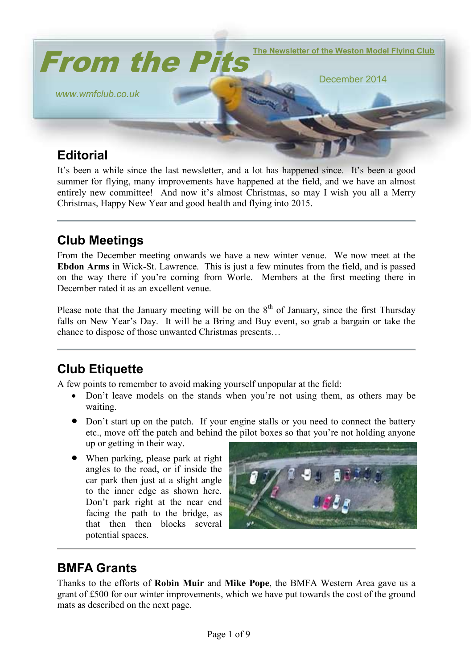

# **Editorial**

It's been a while since the last newsletter, and a lot has happened since. It's been a good summer for flying, many improvements have happened at the field, and we have an almost entirely new committee! And now it's almost Christmas, so may I wish you all a Merry Christmas, Happy New Year and good health and flying into 2015.

# **Club Meetings**

From the December meeting onwards we have a new winter venue. We now meet at the **Ebdon Arms** in Wick-St. Lawrence. This is just a few minutes from the field, and is passed on the way there if you're coming from Worle. Members at the first meeting there in December rated it as an excellent venue.

Please note that the January meeting will be on the  $8<sup>th</sup>$  of January, since the first Thursday falls on New Year's Day. It will be a Bring and Buy event, so grab a bargain or take the chance to dispose of those unwanted Christmas presents…

## **Club Etiquette**

A few points to remember to avoid making yourself unpopular at the field:

- Don't leave models on the stands when you're not using them, as others may be waiting.
- Don't start up on the patch. If your engine stalls or you need to connect the battery etc., move off the patch and behind the pilot boxes so that you're not holding anyone up or getting in their way.
- When parking, please park at right angles to the road, or if inside the car park then just at a slight angle to the inner edge as shown here. Don't park right at the near end facing the path to the bridge, as that then then blocks several potential spaces.



# **BMFA Grants**

Thanks to the efforts of **Robin Muir** and **Mike Pope**, the BMFA Western Area gave us a grant of £500 for our winter improvements, which we have put towards the cost of the ground mats as described on the next page.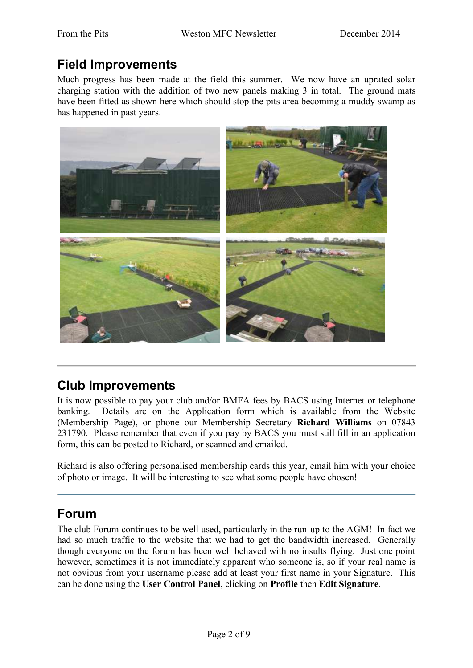## **Field Improvements**

Much progress has been made at the field this summer. We now have an uprated solar charging station with the addition of two new panels making 3 in total. The ground mats have been fitted as shown here which should stop the pits area becoming a muddy swamp as has happened in past years.



## **Club Improvements**

It is now possible to pay your club and/or BMFA fees by BACS using Internet or telephone banking. Details are on the Application form which is available from the Website (Membership Page), or phone our Membership Secretary **Richard Williams** on 07843 231790. Please remember that even if you pay by BACS you must still fill in an application form, this can be posted to Richard, or scanned and emailed.

Richard is also offering personalised membership cards this year, email him with your choice of photo or image. It will be interesting to see what some people have chosen!

## **Forum**

The club Forum continues to be well used, particularly in the run-up to the AGM! In fact we had so much traffic to the website that we had to get the bandwidth increased. Generally though everyone on the forum has been well behaved with no insults flying. Just one point however, sometimes it is not immediately apparent who someone is, so if your real name is not obvious from your username please add at least your first name in your Signature. This can be done using the **User Control Panel**, clicking on **Profile** then **Edit Signature**.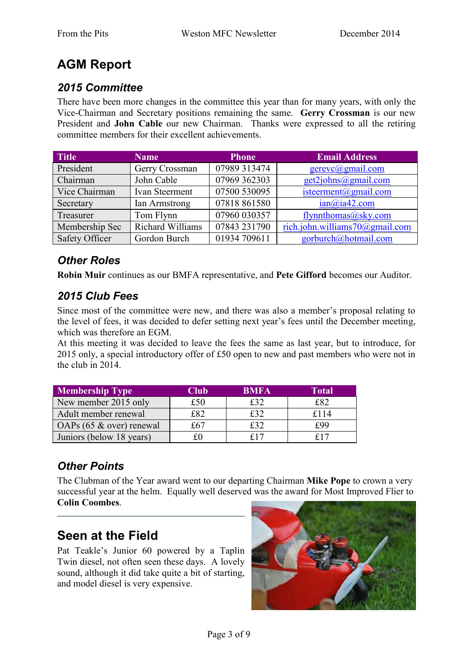# **AGM Report**

### *2015 Committee*

There have been more changes in the committee this year than for many years, with only the Vice-Chairman and Secretary positions remaining the same. **Gerry Crossman** is our new President and **John Cable** our new Chairman. Thanks were expressed to all the retiring committee members for their excellent achievements.

| <b>Title</b>          | <b>Name</b>      | <b>Phone</b> | <b>Email Address</b>           |
|-----------------------|------------------|--------------|--------------------------------|
| President             | Gerry Crossman   | 07989 313474 | gerevc@gmail.com               |
| Chairman              | John Cable       | 07969 362303 | get2johns@gmail.com            |
| Vice Chairman         | Ivan Steerment   | 07500 530095 | isteerment@gmail.com           |
| Secretary             | Ian Armstrong    | 07818 861580 | ian@ia42.com                   |
| Treasurer             | Tom Flynn        | 07960 030357 | flynnthomas@sky.com            |
| Membership Sec        | Richard Williams | 07843 231790 | rich.john.williams70@gmail.com |
| <b>Safety Officer</b> | Gordon Burch     | 01934 709611 | gorburch@hotmail.com           |

### *Other Roles*

**Robin Muir** continues as our BMFA representative, and **Pete Gifford** becomes our Auditor.

### *2015 Club Fees*

Since most of the committee were new, and there was also a member's proposal relating to the level of fees, it was decided to defer setting next year's fees until the December meeting, which was therefore an EGM.

At this meeting it was decided to leave the fees the same as last year, but to introduce, for 2015 only, a special introductory offer of £50 open to new and past members who were not in the club in 2014.

| <b>Membership Type</b>      | Club | <b>BMFA</b> | Total |
|-----------------------------|------|-------------|-------|
| New member 2015 only        | £50  | £32         | £82   |
| Adult member renewal        | £82  | f32         | £114  |
| OAPs $(65 \& over)$ renewal | f.67 | £32         | £99   |
| Juniors (below 18 years)    |      | f 1 7       | f 17  |

### *Other Points*

The Clubman of the Year award went to our departing Chairman **Mike Pope** to crown a very successful year at the helm. Equally well deserved was the award for Most Improved Flier to **Colin Coombes**.

## **Seen at the Field**

Pat Teakle's Junior 60 powered by a Taplin Twin diesel, not often seen these days. A lovely sound, although it did take quite a bit of starting, and model diesel is very expensive.

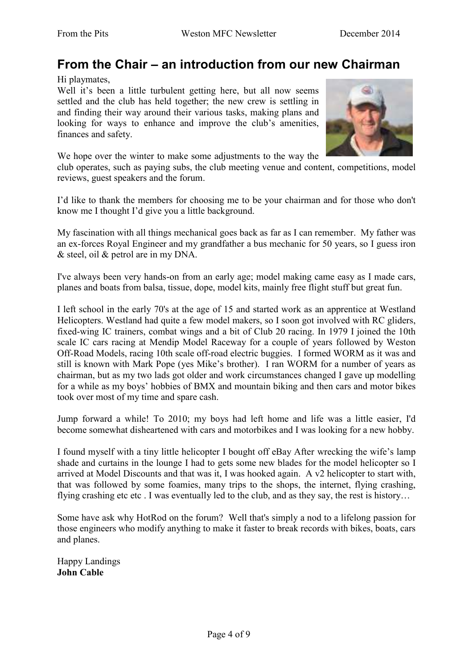### **From the Chair – an introduction from our new Chairman**

Hi playmates,

Well it's been a little turbulent getting here, but all now seems settled and the club has held together; the new crew is settling in and finding their way around their various tasks, making plans and looking for ways to enhance and improve the club's amenities, finances and safety.

We hope over the winter to make some adjustments to the way the



club operates, such as paying subs, the club meeting venue and content, competitions, model reviews, guest speakers and the forum.

I'd like to thank the members for choosing me to be your chairman and for those who don't know me I thought I'd give you a little background.

My fascination with all things mechanical goes back as far as I can remember. My father was an ex-forces Royal Engineer and my grandfather a bus mechanic for 50 years, so I guess iron & steel, oil & petrol are in my DNA.

I've always been very hands-on from an early age; model making came easy as I made cars, planes and boats from balsa, tissue, dope, model kits, mainly free flight stuff but great fun.

I left school in the early 70's at the age of 15 and started work as an apprentice at Westland Helicopters. Westland had quite a few model makers, so I soon got involved with RC gliders, fixed-wing IC trainers, combat wings and a bit of Club 20 racing. In 1979 I joined the 10th scale IC cars racing at Mendip Model Raceway for a couple of years followed by Weston Off-Road Models, racing 10th scale off-road electric buggies. I formed WORM as it was and still is known with Mark Pope (yes Mike's brother). I ran WORM for a number of years as chairman, but as my two lads got older and work circumstances changed I gave up modelling for a while as my boys' hobbies of BMX and mountain biking and then cars and motor bikes took over most of my time and spare cash.

Jump forward a while! To 2010; my boys had left home and life was a little easier, I'd become somewhat disheartened with cars and motorbikes and I was looking for a new hobby.

I found myself with a tiny little helicopter I bought off eBay After wrecking the wife's lamp shade and curtains in the lounge I had to gets some new blades for the model helicopter so I arrived at Model Discounts and that was it, I was hooked again. A v2 helicopter to start with, that was followed by some foamies, many trips to the shops, the internet, flying crashing, flying crashing etc etc . I was eventually led to the club, and as they say, the rest is history…

Some have ask why HotRod on the forum? Well that's simply a nod to a lifelong passion for those engineers who modify anything to make it faster to break records with bikes, boats, cars and planes.

Happy Landings **John Cable**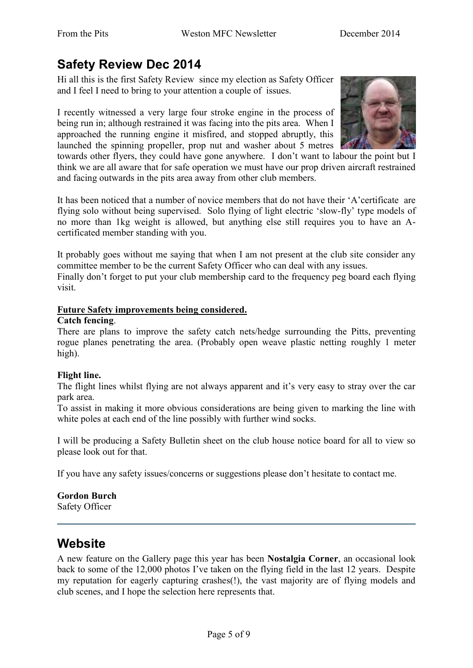# **Safety Review Dec 2014**

Hi all this is the first Safety Review since my election as Safety Officer and I feel I need to bring to your attention a couple of issues.

I recently witnessed a very large four stroke engine in the process of being run in; although restrained it was facing into the pits area. When I approached the running engine it misfired, and stopped abruptly, this launched the spinning propeller, prop nut and washer about 5 metres



towards other flyers, they could have gone anywhere. I don't want to labour the point but I think we are all aware that for safe operation we must have our prop driven aircraft restrained and facing outwards in the pits area away from other club members.

It has been noticed that a number of novice members that do not have their 'A'certificate are flying solo without being supervised. Solo flying of light electric 'slow-fly' type models of no more than 1kg weight is allowed, but anything else still requires you to have an Acertificated member standing with you.

It probably goes without me saying that when I am not present at the club site consider any committee member to be the current Safety Officer who can deal with any issues.

Finally don't forget to put your club membership card to the frequency peg board each flying visit.

#### **Future Safety improvements being considered.**

#### **Catch fencing**.

There are plans to improve the safety catch nets/hedge surrounding the Pitts, preventing rogue planes penetrating the area. (Probably open weave plastic netting roughly 1 meter high).

#### **Flight line.**

The flight lines whilst flying are not always apparent and it's very easy to stray over the car park area.

To assist in making it more obvious considerations are being given to marking the line with white poles at each end of the line possibly with further wind socks.

I will be producing a Safety Bulletin sheet on the club house notice board for all to view so please look out for that.

If you have any safety issues/concerns or suggestions please don't hesitate to contact me.

#### **Gordon Burch**

Safety Officer

### **Website**

A new feature on the Gallery page this year has been **Nostalgia Corner**, an occasional look back to some of the 12,000 photos I've taken on the flying field in the last 12 years. Despite my reputation for eagerly capturing crashes(!), the vast majority are of flying models and club scenes, and I hope the selection here represents that.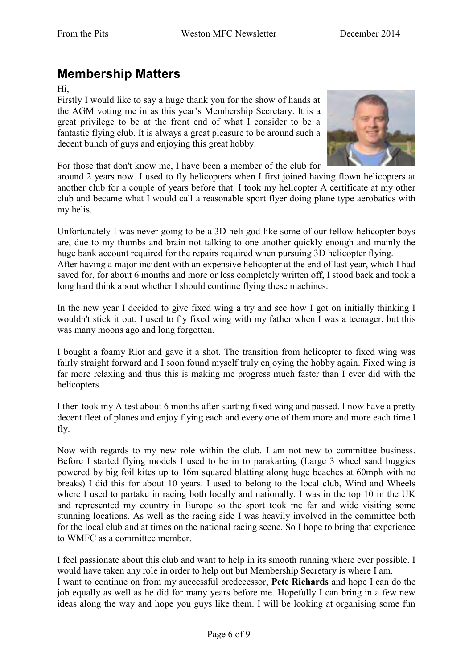# **Membership Matters**

Hi,

Firstly I would like to say a huge thank you for the show of hands at the AGM voting me in as this year's Membership Secretary. It is a great privilege to be at the front end of what I consider to be a fantastic flying club. It is always a great pleasure to be around such a decent bunch of guys and enjoying this great hobby.



For those that don't know me, I have been a member of the club for

around 2 years now. I used to fly helicopters when I first joined having flown helicopters at another club for a couple of years before that. I took my helicopter A certificate at my other club and became what I would call a reasonable sport flyer doing plane type aerobatics with my helis.

Unfortunately I was never going to be a 3D heli god like some of our fellow helicopter boys are, due to my thumbs and brain not talking to one another quickly enough and mainly the huge bank account required for the repairs required when pursuing 3D helicopter flying. After having a major incident with an expensive helicopter at the end of last year, which I had saved for, for about 6 months and more or less completely written off, I stood back and took a long hard think about whether I should continue flying these machines.

In the new year I decided to give fixed wing a try and see how I got on initially thinking I wouldn't stick it out. I used to fly fixed wing with my father when I was a teenager, but this was many moons ago and long forgotten.

I bought a foamy Riot and gave it a shot. The transition from helicopter to fixed wing was fairly straight forward and I soon found myself truly enjoying the hobby again. Fixed wing is far more relaxing and thus this is making me progress much faster than I ever did with the helicopters.

I then took my A test about 6 months after starting fixed wing and passed. I now have a pretty decent fleet of planes and enjoy flying each and every one of them more and more each time I fly.

Now with regards to my new role within the club. I am not new to committee business. Before I started flying models I used to be in to parakarting (Large 3 wheel sand buggies powered by big foil kites up to 16m squared blatting along huge beaches at 60mph with no breaks) I did this for about 10 years. I used to belong to the local club, Wind and Wheels where I used to partake in racing both locally and nationally. I was in the top 10 in the UK and represented my country in Europe so the sport took me far and wide visiting some stunning locations. As well as the racing side I was heavily involved in the committee both for the local club and at times on the national racing scene. So I hope to bring that experience to WMFC as a committee member.

I feel passionate about this club and want to help in its smooth running where ever possible. I would have taken any role in order to help out but Membership Secretary is where I am. I want to continue on from my successful predecessor, **Pete Richards** and hope I can do the job equally as well as he did for many years before me. Hopefully I can bring in a few new ideas along the way and hope you guys like them. I will be looking at organising some fun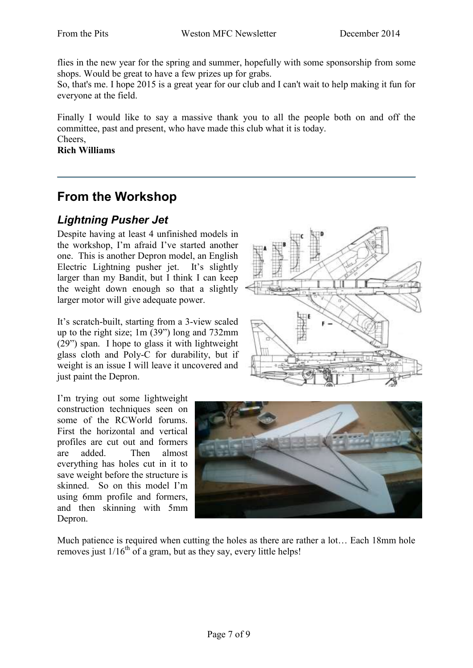flies in the new year for the spring and summer, hopefully with some sponsorship from some shops. Would be great to have a few prizes up for grabs.

So, that's me. I hope 2015 is a great year for our club and I can't wait to help making it fun for everyone at the field.

Finally I would like to say a massive thank you to all the people both on and off the committee, past and present, who have made this club what it is today. Cheers,

**Rich Williams**

## **From the Workshop**

### *Lightning Pusher Jet*

Despite having at least 4 unfinished models in the workshop, I'm afraid I've started another one. This is another Depron model, an English Electric Lightning pusher jet. It's slightly larger than my Bandit, but I think I can keep the weight down enough so that a slightly larger motor will give adequate power.

It's scratch-built, starting from a 3-view scaled up to the right size; 1m (39") long and 732mm (29") span. I hope to glass it with lightweight glass cloth and Poly-C for durability, but if weight is an issue I will leave it uncovered and just paint the Depron.

I'm trying out some lightweight construction techniques seen on some of the RCWorld forums. First the horizontal and vertical profiles are cut out and formers are added. Then almost everything has holes cut in it to save weight before the structure is skinned. So on this model I'm using 6mm profile and formers, and then skinning with 5mm Depron.





Much patience is required when cutting the holes as there are rather a lot... Each 18mm hole removes just  $1/16^{th}$  of a gram, but as they say, every little helps!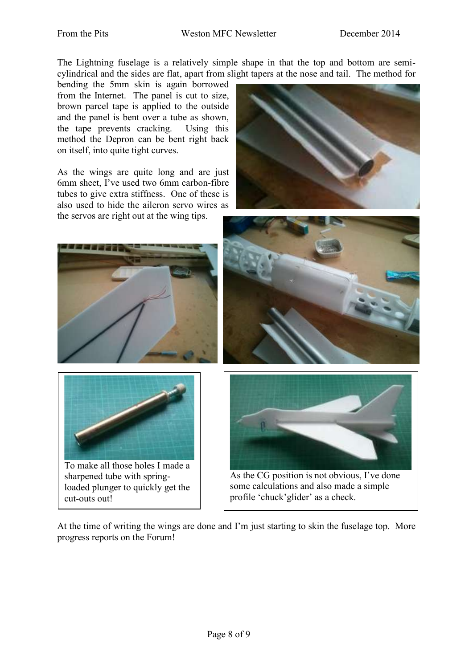The Lightning fuselage is a relatively simple shape in that the top and bottom are semicylindrical and the sides are flat, apart from slight tapers at the nose and tail. The method for

bending the 5mm skin is again borrowed from the Internet. The panel is cut to size, brown parcel tape is applied to the outside and the panel is bent over a tube as shown, the tape prevents cracking. Using this method the Depron can be bent right back on itself, into quite tight curves.

As the wings are quite long and are just 6mm sheet, I've used two 6mm carbon-fibre tubes to give extra stiffness. One of these is also used to hide the aileron servo wires as the servos are right out at the wing tips.







To make all those holes I made a sharpened tube with springloaded plunger to quickly get the cut-outs out!





As the CG position is not obvious, I've done some calculations and also made a simple profile 'chuck'glider' as a check.

At the time of writing the wings are done and I'm just starting to skin the fuselage top. More progress reports on the Forum!